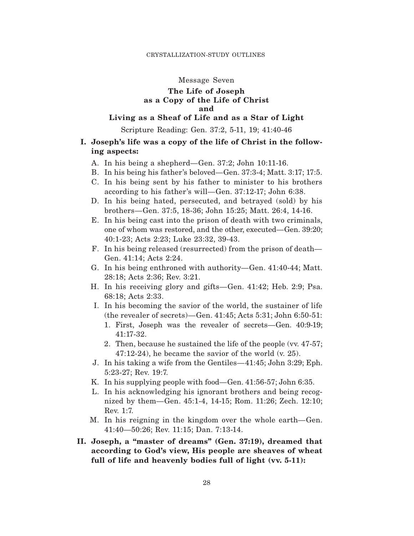## Message Seven

## **The Life of Joseph as a Copy of the Life of Christ and**

## **Living as a Sheaf of Life and as a Star of Light**

Scripture Reading: Gen. 37:2, 5-11, 19; 41:40-46

# **I. Joseph's life was a copy of the life of Christ in the following aspects:**

- A. In his being a shepherd—Gen. 37:2; John 10:11-16.
- B. In his being his father's beloved—Gen. 37:3-4; Matt. 3:17; 17:5.
- C. In his being sent by his father to minister to his brothers according to his father's will—Gen. 37:12-17; John 6:38.
- D. In his being hated, persecuted, and betrayed (sold) by his brothers—Gen. 37:5, 18-36; John 15:25; Matt. 26:4, 14-16.
- E. In his being cast into the prison of death with two criminals, one of whom was restored, and the other, executed—Gen. 39:20; 40:1-23; Acts 2:23; Luke 23:32, 39-43.
- F. In his being released (resurrected) from the prison of death— Gen. 41:14; Acts 2:24.
- G. In his being enthroned with authority—Gen. 41:40-44; Matt. 28:18; Acts 2:36; Rev. 3:21.
- H. In his receiving glory and gifts—Gen. 41:42; Heb. 2:9; Psa. 68:18; Acts 2:33.
- I. In his becoming the savior of the world, the sustainer of life (the revealer of secrets)—Gen. 41:45; Acts 5:31; John 6:50-51:
	- 1. First, Joseph was the revealer of secrets—Gen. 40:9-19; 41:17-32.
	- 2. Then, because he sustained the life of the people (vv. 47-57; 47:12-24), he became the savior of the world (v. 25).
- J. In his taking a wife from the Gentiles—41:45; John 3:29; Eph. 5:23-27; Rev. 19:7.
- K. In his supplying people with food—Gen. 41:56-57; John 6:35.
- L. In his acknowledging his ignorant brothers and being recognized by them—Gen. 45:1-4, 14-15; Rom. 11:26; Zech. 12:10; Rev. 1:7.
- M. In his reigning in the kingdom over the whole earth—Gen. 41:40—50:26; Rev. 11:15; Dan. 7:13-14.
- **II. Joseph, a "master of dreams" (Gen. 37:19), dreamed that according to God's view, His people are sheaves of wheat full of life and heavenly bodies full of light (vv. 5-11):**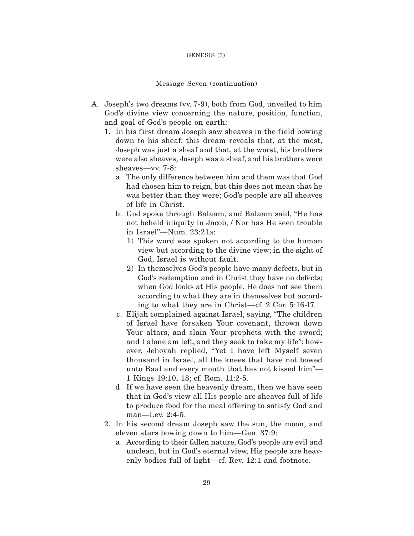#### GENESIS (3)

#### Message Seven (continuation)

- A. Joseph's two dreams (vv. 7-9), both from God, unveiled to him God's divine view concerning the nature, position, function, and goal of God's people on earth:
	- 1. In his first dream Joseph saw sheaves in the field bowing down to his sheaf; this dream reveals that, at the most, Joseph was just a sheaf and that, at the worst, his brothers were also sheaves; Joseph was a sheaf, and his brothers were sheaves—vv. 7-8:
		- a. The only difference between him and them was that God had chosen him to reign, but this does not mean that he was better than they were; God's people are all sheaves of life in Christ.
		- b. God spoke through Balaam, and Balaam said, "He has not beheld iniquity in Jacob, / Nor has He seen trouble in Israel"—Num. 23:21a:
			- 1) This word was spoken not according to the human view but according to the divine view; in the sight of God, Israel is without fault.
			- 2) In themselves God's people have many defects, but in God's redemption and in Christ they have no defects; when God looks at His people, He does not see them according to what they are in themselves but according to what they are in Christ—cf. 2 Cor. 5:16-17.
		- c. Elijah complained against Israel, saying, "The children of Israel have forsaken Your covenant, thrown down Your altars, and slain Your prophets with the sword; and I alone am left, and they seek to take my life"; however, Jehovah replied, "Yet I have left Myself seven thousand in Israel, all the knees that have not bowed unto Baal and every mouth that has not kissed him"— 1 Kings 19:10, 18; cf. Rom. 11:2-5.
		- d. If we have seen the heavenly dream, then we have seen that in God's view all His people are sheaves full of life to produce food for the meal offering to satisfy God and man—Lev. 2:4-5.
	- 2. In his second dream Joseph saw the sun, the moon, and eleven stars bowing down to him—Gen. 37:9:
		- a. According to their fallen nature, God's people are evil and unclean, but in God's eternal view, His people are heavenly bodies full of light—cf. Rev. 12:1 and footnote.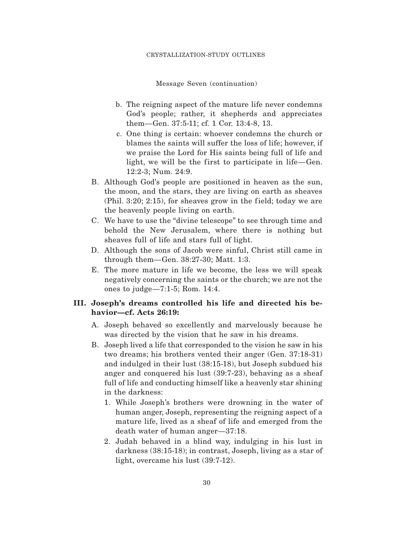#### CRYSTALLIZATION-STUDY OUTLINES

Message Seven (continuation)

- b. The reigning aspect of the mature life never condemns God's people; rather, it shepherds and appreciates them—Gen. 37:5-11; cf. 1 Cor. 13:4-8, 13.
- c. One thing is certain: whoever condemns the church or blames the saints will suffer the loss of life; however, if we praise the Lord for His saints being full of life and light, we will be the first to participate in life—Gen. 12:2-3; Num. 24:9.
- B. Although God's people are positioned in heaven as the sun, the moon, and the stars, they are living on earth as sheaves  $(Phi, 3:20; 2:15)$ , for sheaves grow in the field; today we are the heavenly people living on earth.
- C. We have to use the "divine telescope" to see through time and behold the New Jerusalem, where there is nothing but sheaves full of life and stars full of light.
- D. Although the sons of Jacob were sinful, Christ still came in through them—Gen. 38:27-30; Matt. 1:3.
- E. The more mature in life we become, the less we will speak negatively concerning the saints or the church; we are not the ones to judge—7:1-5; Rom. 14:4.

## **III. Joseph's dreams controlled his life and directed his behavior—cf. Acts 26:19:**

- A. Joseph behaved so excellently and marvelously because he was directed by the vision that he saw in his dreams.
- B. Joseph lived a life that corresponded to the vision he saw in his two dreams; his brothers vented their anger (Gen. 37:18-31) and indulged in their lust (38:15-18), but Joseph subdued his anger and conquered his lust (39:7-23), behaving as a sheaf full of life and conducting himself like a heavenly star shining in the darkness:
	- 1. While Joseph's brothers were drowning in the water of human anger, Joseph, representing the reigning aspect of a mature life, lived as a sheaf of life and emerged from the death water of human anger—37:18.
	- 2. Judah behaved in a blind way, indulging in his lust in darkness (38:15-18); in contrast, Joseph, living as a star of light, overcame his lust (39:7-12).